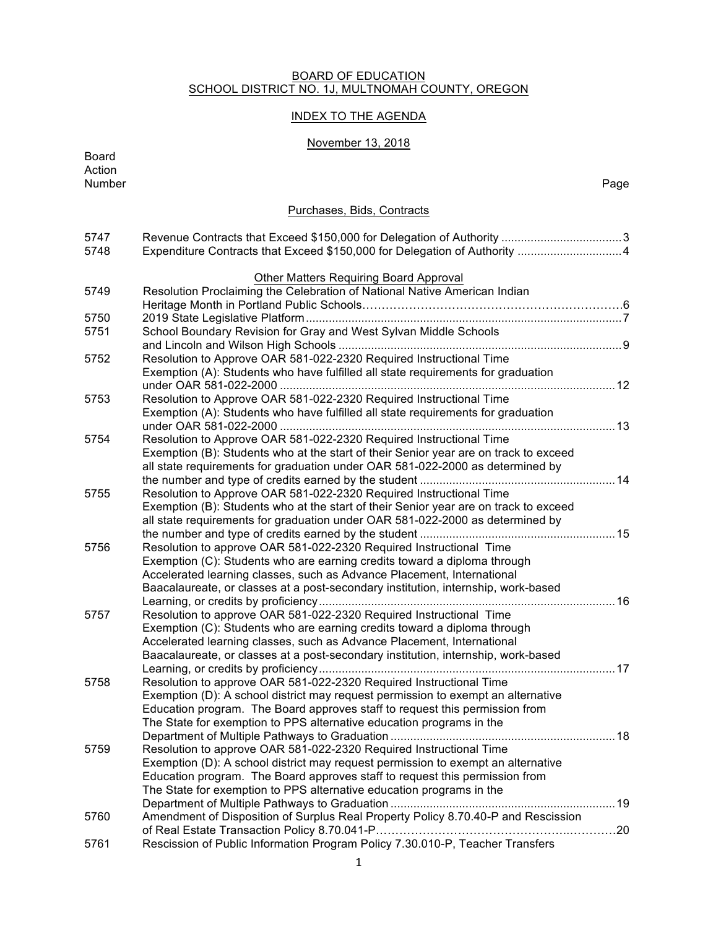#### BOARD OF EDUCATION SCHOOL DISTRICT NO. 1J, MULTNOMAH COUNTY, OREGON

# INDEX TO THE AGENDA

# November 13, 2018

| <b>Board</b><br>Action<br>Number | Page                                                                                 |
|----------------------------------|--------------------------------------------------------------------------------------|
|                                  | Purchases, Bids, Contracts                                                           |
| 5747<br>5748                     |                                                                                      |
|                                  | <b>Other Matters Requiring Board Approval</b>                                        |
| 5749                             | Resolution Proclaiming the Celebration of National Native American Indian            |
| 5750                             |                                                                                      |
| 5751                             | School Boundary Revision for Gray and West Sylvan Middle Schools                     |
| 5752                             | Resolution to Approve OAR 581-022-2320 Required Instructional Time                   |
|                                  | Exemption (A): Students who have fulfilled all state requirements for graduation     |
| 5753                             | Resolution to Approve OAR 581-022-2320 Required Instructional Time                   |
|                                  | Exemption (A): Students who have fulfilled all state requirements for graduation     |
|                                  |                                                                                      |
| 5754                             | Resolution to Approve OAR 581-022-2320 Required Instructional Time                   |
|                                  | Exemption (B): Students who at the start of their Senior year are on track to exceed |
|                                  | all state requirements for graduation under OAR 581-022-2000 as determined by        |
|                                  |                                                                                      |
| 5755                             | Resolution to Approve OAR 581-022-2320 Required Instructional Time                   |
|                                  | Exemption (B): Students who at the start of their Senior year are on track to exceed |
|                                  | all state requirements for graduation under OAR 581-022-2000 as determined by        |
| 5756                             | Resolution to approve OAR 581-022-2320 Required Instructional Time                   |
|                                  | Exemption (C): Students who are earning credits toward a diploma through             |
|                                  | Accelerated learning classes, such as Advance Placement, International               |
|                                  | Baacalaureate, or classes at a post-secondary institution, internship, work-based    |
|                                  |                                                                                      |
| 5757                             | Resolution to approve OAR 581-022-2320 Required Instructional Time                   |
|                                  | Exemption (C): Students who are earning credits toward a diploma through             |
|                                  | Accelerated learning classes, such as Advance Placement, International               |
|                                  | Baacalaureate, or classes at a post-secondary institution, internship, work-based    |
|                                  | Resolution to approve OAR 581-022-2320 Required Instructional Time                   |
| 5758                             | Exemption (D): A school district may request permission to exempt an alternative     |
|                                  | Education program. The Board approves staff to request this permission from          |
|                                  | The State for exemption to PPS alternative education programs in the                 |
|                                  |                                                                                      |
| 5759                             | Resolution to approve OAR 581-022-2320 Required Instructional Time                   |
|                                  | Exemption (D): A school district may request permission to exempt an alternative     |
|                                  | Education program. The Board approves staff to request this permission from          |
|                                  | The State for exemption to PPS alternative education programs in the                 |
|                                  |                                                                                      |
| 5760                             | Amendment of Disposition of Surplus Real Property Policy 8.70.40-P and Rescission    |
| 5761                             | Rescission of Public Information Program Policy 7.30.010-P, Teacher Transfers        |
|                                  |                                                                                      |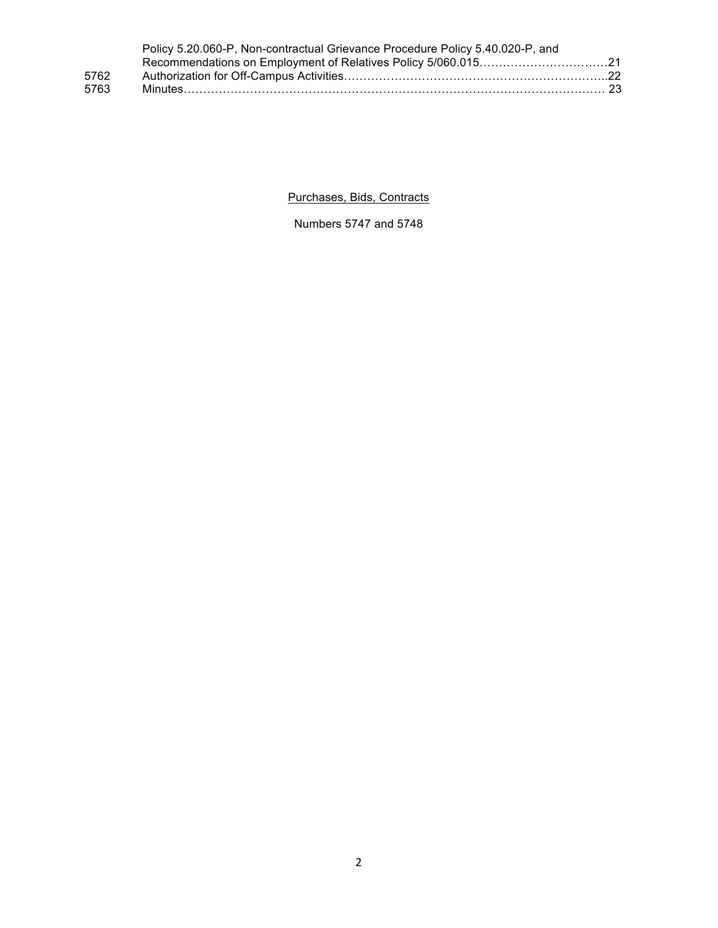|      | Policy 5.20.060-P, Non-contractual Grievance Procedure Policy 5.40.020-P, and |  |
|------|-------------------------------------------------------------------------------|--|
|      |                                                                               |  |
| 5762 |                                                                               |  |
| 5763 |                                                                               |  |

Purchases, Bids, Contracts

Numbers 5747 and 5748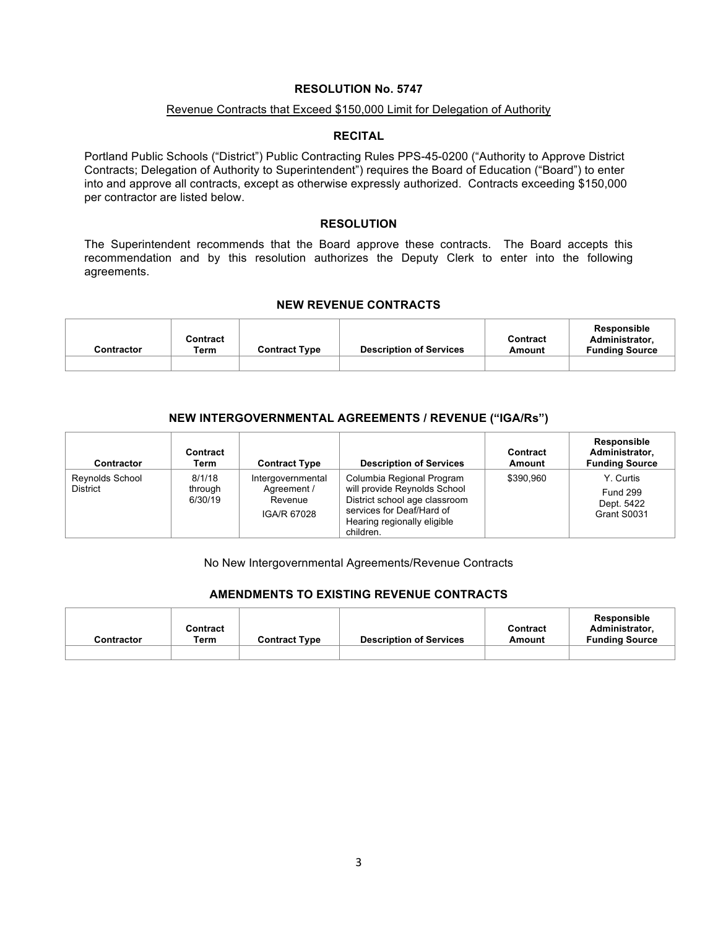### Revenue Contracts that Exceed \$150,000 Limit for Delegation of Authority

#### **RECITAL**

Portland Public Schools ("District") Public Contracting Rules PPS-45-0200 ("Authority to Approve District Contracts; Delegation of Authority to Superintendent") requires the Board of Education ("Board") to enter into and approve all contracts, except as otherwise expressly authorized. Contracts exceeding \$150,000 per contractor are listed below.

### **RESOLUTION**

The Superintendent recommends that the Board approve these contracts. The Board accepts this recommendation and by this resolution authorizes the Deputy Clerk to enter into the following agreements.

### **NEW REVENUE CONTRACTS**

| Contractor | Contract<br>Term | <b>Contract Type</b> | <b>Description of Services</b> | Contract<br>Amount | Responsible<br>Administrator,<br><b>Funding Source</b> |
|------------|------------------|----------------------|--------------------------------|--------------------|--------------------------------------------------------|
|            |                  |                      |                                |                    |                                                        |

#### **NEW INTERGOVERNMENTAL AGREEMENTS / REVENUE ("IGA/Rs")**

| Contractor                         | Contract<br>Term             | <b>Contract Type</b>                                       | <b>Description of Services</b>                                                                                                                                      | Contract<br>Amount | Responsible<br>Administrator,<br><b>Funding Source</b>    |
|------------------------------------|------------------------------|------------------------------------------------------------|---------------------------------------------------------------------------------------------------------------------------------------------------------------------|--------------------|-----------------------------------------------------------|
| Reynolds School<br><b>District</b> | 8/1/18<br>through<br>6/30/19 | Intergovernmental<br>Agreement /<br>Revenue<br>IGA/R 67028 | Columbia Regional Program<br>will provide Reynolds School<br>District school age classroom<br>services for Deaf/Hard of<br>Hearing regionally eligible<br>children. | \$390.960          | Y. Curtis<br><b>Fund 299</b><br>Dept. 5422<br>Grant S0031 |

No New Intergovernmental Agreements/Revenue Contracts

### **AMENDMENTS TO EXISTING REVENUE CONTRACTS**

|            |                  |                      |                                |                    | <b>Responsible</b>                      |
|------------|------------------|----------------------|--------------------------------|--------------------|-----------------------------------------|
| Contractor | Contract<br>Term | <b>Contract Type</b> | <b>Description of Services</b> | Contract<br>Amount | Administrator.<br><b>Funding Source</b> |
|            |                  |                      |                                |                    |                                         |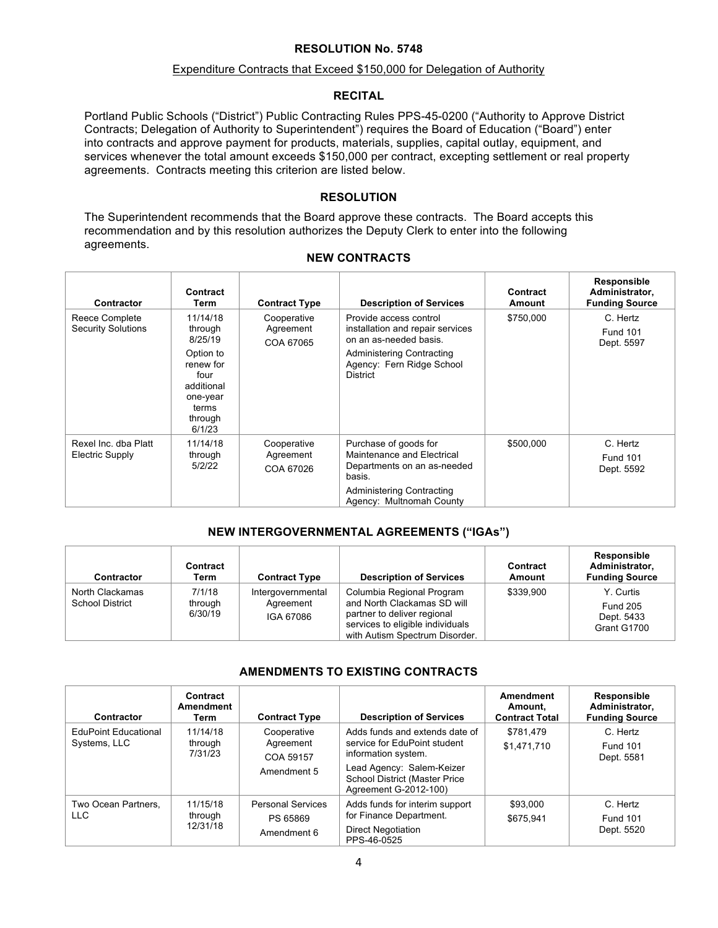#### Expenditure Contracts that Exceed \$150,000 for Delegation of Authority

### **RECITAL**

Portland Public Schools ("District") Public Contracting Rules PPS-45-0200 ("Authority to Approve District Contracts; Delegation of Authority to Superintendent") requires the Board of Education ("Board") enter into contracts and approve payment for products, materials, supplies, capital outlay, equipment, and services whenever the total amount exceeds \$150,000 per contract, excepting settlement or real property agreements. Contracts meeting this criterion are listed below.

### **RESOLUTION**

The Superintendent recommends that the Board approve these contracts. The Board accepts this recommendation and by this resolution authorizes the Deputy Clerk to enter into the following agreements.

# **NEW CONTRACTS**

| <b>Contractor</b>                                  | Contract<br>Term                                                                                                         | <b>Contract Type</b>                  | <b>Description of Services</b>                                                                                                                                           | Contract<br>Amount | <b>Responsible</b><br>Administrator,<br><b>Funding Source</b> |
|----------------------------------------------------|--------------------------------------------------------------------------------------------------------------------------|---------------------------------------|--------------------------------------------------------------------------------------------------------------------------------------------------------------------------|--------------------|---------------------------------------------------------------|
| <b>Reece Complete</b><br><b>Security Solutions</b> | 11/14/18<br>through<br>8/25/19<br>Option to<br>renew for<br>four<br>additional<br>one-year<br>terms<br>through<br>6/1/23 | Cooperative<br>Agreement<br>COA 67065 | Provide access control<br>installation and repair services<br>on an as-needed basis.<br><b>Administering Contracting</b><br>Agency: Fern Ridge School<br><b>District</b> | \$750,000          | C. Hertz<br><b>Fund 101</b><br>Dept. 5597                     |
| Rexel Inc. dba Platt<br><b>Electric Supply</b>     | 11/14/18<br>through<br>5/2/22                                                                                            | Cooperative<br>Agreement<br>COA 67026 | Purchase of goods for<br>Maintenance and Electrical<br>Departments on an as-needed<br>basis.<br><b>Administering Contracting</b><br>Agency: Multnomah County             | \$500,000          | C. Hertz<br><b>Fund 101</b><br>Dept. 5592                     |

### **NEW INTERGOVERNMENTAL AGREEMENTS ("IGAs")**

| Contractor                                | Contract<br>Term             | <b>Contract Type</b>                        | <b>Description of Services</b>                                                                                                                                | Contract<br>Amount | <b>Responsible</b><br>Administrator,<br><b>Funding Source</b> |
|-------------------------------------------|------------------------------|---------------------------------------------|---------------------------------------------------------------------------------------------------------------------------------------------------------------|--------------------|---------------------------------------------------------------|
| North Clackamas<br><b>School District</b> | 7/1/18<br>through<br>6/30/19 | Intergovernmental<br>Agreement<br>IGA 67086 | Columbia Regional Program<br>and North Clackamas SD will<br>partner to deliver regional<br>services to eligible individuals<br>with Autism Spectrum Disorder. | \$339,900          | Y. Curtis<br><b>Fund 205</b><br>Dept. 5433<br>Grant G1700     |

### **AMENDMENTS TO EXISTING CONTRACTS**

| Contractor                                  | Contract<br>Amendment<br>Term                                           | <b>Contract Type</b>                                | <b>Description of Services</b>                                                                                     | Amendment<br>Amount.<br><b>Contract Total</b> | Responsible<br>Administrator,<br><b>Funding Source</b> |
|---------------------------------------------|-------------------------------------------------------------------------|-----------------------------------------------------|--------------------------------------------------------------------------------------------------------------------|-----------------------------------------------|--------------------------------------------------------|
| <b>EduPoint Educational</b><br>Systems, LLC | 11/14/18<br>Cooperative<br>Agreement<br>through<br>7/31/23<br>COA 59157 |                                                     | Adds funds and extends date of<br>service for EduPoint student<br>information system.<br>Lead Agency: Salem-Keizer | \$781.479<br>\$1,471,710                      | C. Hertz<br><b>Fund 101</b><br>Dept. 5581              |
|                                             |                                                                         | Amendment 5                                         | <b>School District (Master Price</b><br>Agreement G-2012-100)                                                      |                                               |                                                        |
| Two Ocean Partners.<br>LLC.                 | 11/15/18<br>through<br>12/31/18                                         | <b>Personal Services</b><br>PS 65869<br>Amendment 6 | Adds funds for interim support<br>for Finance Department.<br>Direct Negotiation<br>PPS-46-0525                     | \$93,000<br>\$675.941                         | C. Hertz<br><b>Fund 101</b><br>Dept. 5520              |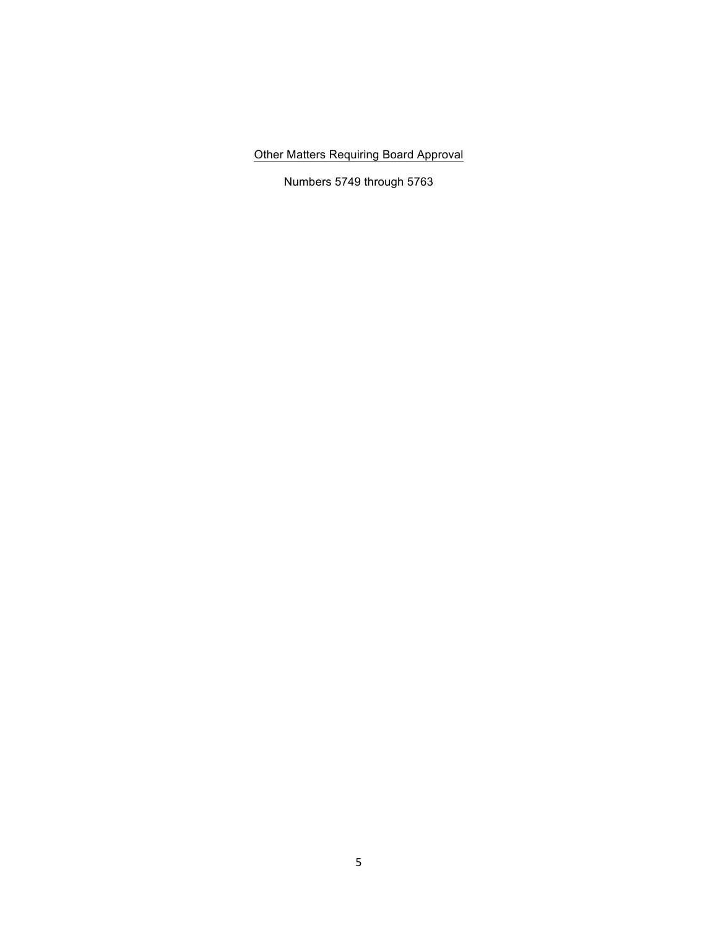# Other Matters Requiring Board Approval

Numbers 5749 through 5763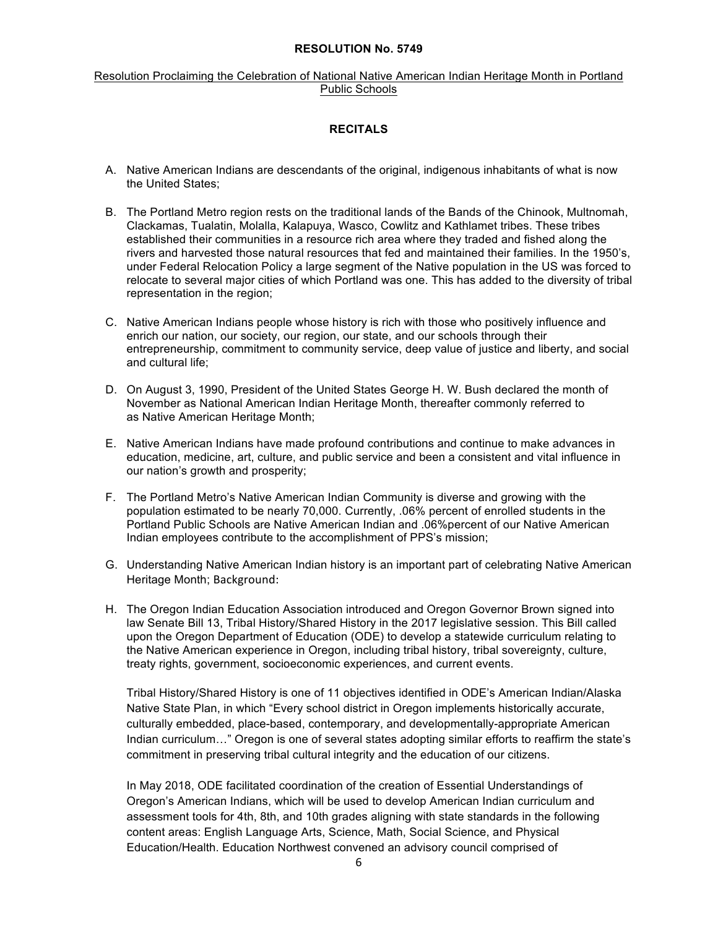#### Resolution Proclaiming the Celebration of National Native American Indian Heritage Month in Portland Public Schools

# **RECITALS**

- A. Native American Indians are descendants of the original, indigenous inhabitants of what is now the United States;
- B. The Portland Metro region rests on the traditional lands of the Bands of the Chinook, Multnomah, Clackamas, Tualatin, Molalla, Kalapuya, Wasco, Cowlitz and Kathlamet tribes. These tribes established their communities in a resource rich area where they traded and fished along the rivers and harvested those natural resources that fed and maintained their families. In the 1950's, under Federal Relocation Policy a large segment of the Native population in the US was forced to relocate to several major cities of which Portland was one. This has added to the diversity of tribal representation in the region;
- C. Native American Indians people whose history is rich with those who positively influence and enrich our nation, our society, our region, our state, and our schools through their entrepreneurship, commitment to community service, deep value of justice and liberty, and social and cultural life;
- D. On August 3, 1990, President of the United States George H. W. Bush declared the month of November as National American Indian Heritage Month, thereafter commonly referred to as Native American Heritage Month;
- E. Native American Indians have made profound contributions and continue to make advances in education, medicine, art, culture, and public service and been a consistent and vital influence in our nation's growth and prosperity;
- F. The Portland Metro's Native American Indian Community is diverse and growing with the population estimated to be nearly 70,000. Currently, .06% percent of enrolled students in the Portland Public Schools are Native American Indian and .06%percent of our Native American Indian employees contribute to the accomplishment of PPS's mission;
- G. Understanding Native American Indian history is an important part of celebrating Native American Heritage Month; Background:
- H. The Oregon Indian Education Association introduced and Oregon Governor Brown signed into law Senate Bill 13, Tribal History/Shared History in the 2017 legislative session. This Bill called upon the Oregon Department of Education (ODE) to develop a statewide curriculum relating to the Native American experience in Oregon, including tribal history, tribal sovereignty, culture, treaty rights, government, socioeconomic experiences, and current events.

Tribal History/Shared History is one of 11 objectives identified in ODE's American Indian/Alaska Native State Plan, in which "Every school district in Oregon implements historically accurate, culturally embedded, place-based, contemporary, and developmentally-appropriate American Indian curriculum…" Oregon is one of several states adopting similar efforts to reaffirm the state's commitment in preserving tribal cultural integrity and the education of our citizens.

In May 2018, ODE facilitated coordination of the creation of Essential Understandings of Oregon's American Indians, which will be used to develop American Indian curriculum and assessment tools for 4th, 8th, and 10th grades aligning with state standards in the following content areas: English Language Arts, Science, Math, Social Science, and Physical Education/Health. Education Northwest convened an advisory council comprised of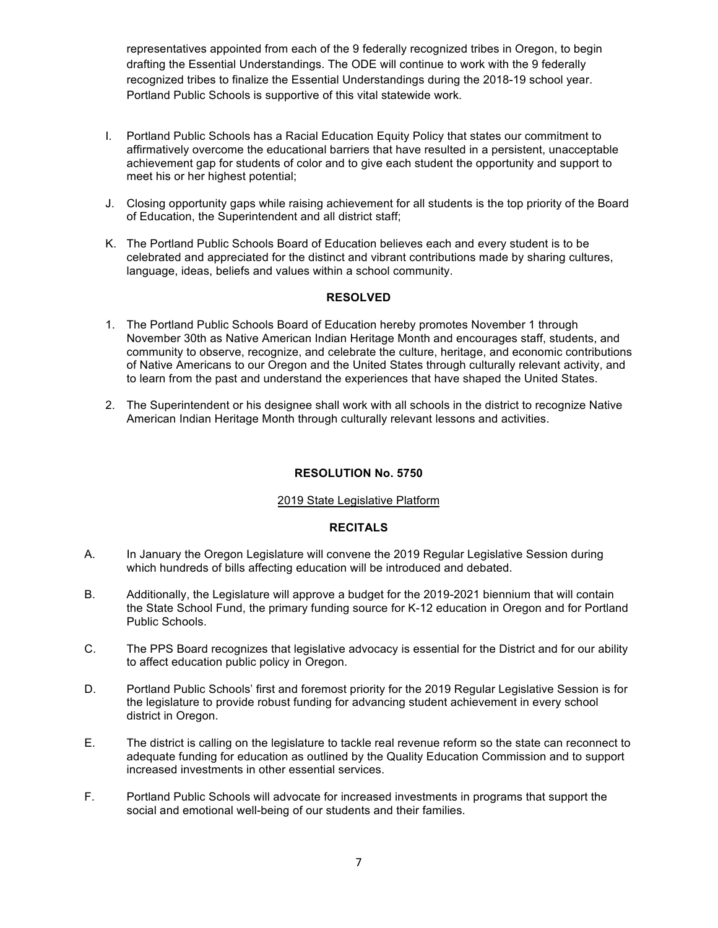representatives appointed from each of the 9 federally recognized tribes in Oregon, to begin drafting the Essential Understandings. The ODE will continue to work with the 9 federally recognized tribes to finalize the Essential Understandings during the 2018-19 school year. Portland Public Schools is supportive of this vital statewide work.

- I. Portland Public Schools has a Racial Education Equity Policy that states our commitment to affirmatively overcome the educational barriers that have resulted in a persistent, unacceptable achievement gap for students of color and to give each student the opportunity and support to meet his or her highest potential;
- J. Closing opportunity gaps while raising achievement for all students is the top priority of the Board of Education, the Superintendent and all district staff;
- K. The Portland Public Schools Board of Education believes each and every student is to be celebrated and appreciated for the distinct and vibrant contributions made by sharing cultures, language, ideas, beliefs and values within a school community.

# **RESOLVED**

- 1. The Portland Public Schools Board of Education hereby promotes November 1 through November 30th as Native American Indian Heritage Month and encourages staff, students, and community to observe, recognize, and celebrate the culture, heritage, and economic contributions of Native Americans to our Oregon and the United States through culturally relevant activity, and to learn from the past and understand the experiences that have shaped the United States.
- 2. The Superintendent or his designee shall work with all schools in the district to recognize Native American Indian Heritage Month through culturally relevant lessons and activities.

# **RESOLUTION No. 5750**

### 2019 State Legislative Platform

### **RECITALS**

- A. In January the Oregon Legislature will convene the 2019 Regular Legislative Session during which hundreds of bills affecting education will be introduced and debated.
- B. Additionally, the Legislature will approve a budget for the 2019-2021 biennium that will contain the State School Fund, the primary funding source for K-12 education in Oregon and for Portland Public Schools.
- C. The PPS Board recognizes that legislative advocacy is essential for the District and for our ability to affect education public policy in Oregon.
- D. Portland Public Schools' first and foremost priority for the 2019 Regular Legislative Session is for the legislature to provide robust funding for advancing student achievement in every school district in Oregon.
- E. The district is calling on the legislature to tackle real revenue reform so the state can reconnect to adequate funding for education as outlined by the Quality Education Commission and to support increased investments in other essential services.
- F. Portland Public Schools will advocate for increased investments in programs that support the social and emotional well-being of our students and their families.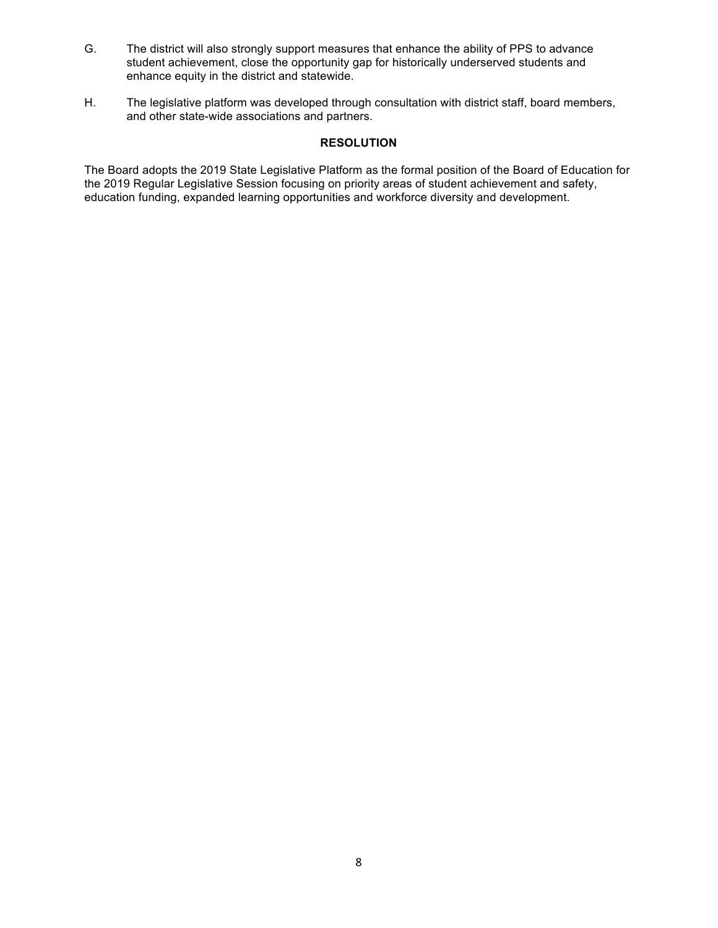- G. The district will also strongly support measures that enhance the ability of PPS to advance student achievement, close the opportunity gap for historically underserved students and enhance equity in the district and statewide.
- H. The legislative platform was developed through consultation with district staff, board members, and other state-wide associations and partners.

### **RESOLUTION**

The Board adopts the 2019 State Legislative Platform as the formal position of the Board of Education for the 2019 Regular Legislative Session focusing on priority areas of student achievement and safety, education funding, expanded learning opportunities and workforce diversity and development.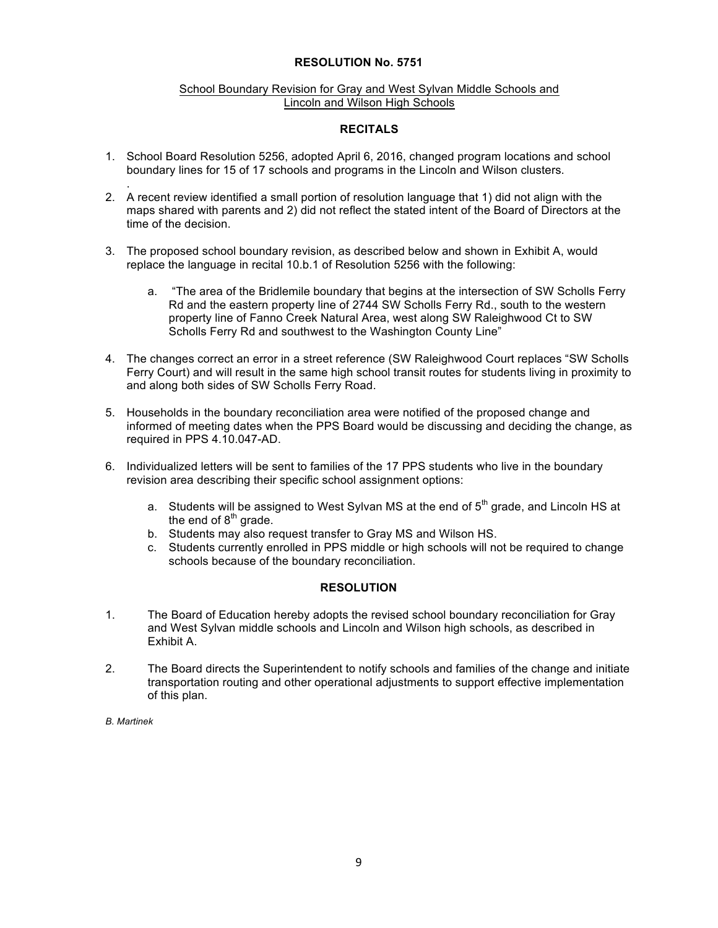### School Boundary Revision for Gray and West Sylvan Middle Schools and Lincoln and Wilson High Schools

### **RECITALS**

- 1. School Board Resolution 5256, adopted April 6, 2016, changed program locations and school boundary lines for 15 of 17 schools and programs in the Lincoln and Wilson clusters.
- . 2. A recent review identified a small portion of resolution language that 1) did not align with the maps shared with parents and 2) did not reflect the stated intent of the Board of Directors at the time of the decision.
- 3. The proposed school boundary revision, as described below and shown in Exhibit A, would replace the language in recital 10.b.1 of Resolution 5256 with the following:
	- a. "The area of the Bridlemile boundary that begins at the intersection of SW Scholls Ferry Rd and the eastern property line of 2744 SW Scholls Ferry Rd., south to the western property line of Fanno Creek Natural Area, west along SW Raleighwood Ct to SW Scholls Ferry Rd and southwest to the Washington County Line"
- 4. The changes correct an error in a street reference (SW Raleighwood Court replaces "SW Scholls Ferry Court) and will result in the same high school transit routes for students living in proximity to and along both sides of SW Scholls Ferry Road.
- 5. Households in the boundary reconciliation area were notified of the proposed change and informed of meeting dates when the PPS Board would be discussing and deciding the change, as required in PPS 4.10.047-AD.
- 6. Individualized letters will be sent to families of the 17 PPS students who live in the boundary revision area describing their specific school assignment options:
	- a. Students will be assigned to West Sylvan MS at the end of  $5<sup>th</sup>$  grade, and Lincoln HS at the end of  $8<sup>th</sup>$  grade.
	- b. Students may also request transfer to Gray MS and Wilson HS.
	- c. Students currently enrolled in PPS middle or high schools will not be required to change schools because of the boundary reconciliation.

# **RESOLUTION**

- 1. The Board of Education hereby adopts the revised school boundary reconciliation for Gray and West Sylvan middle schools and Lincoln and Wilson high schools, as described in Exhibit A.
- 2. The Board directs the Superintendent to notify schools and families of the change and initiate transportation routing and other operational adjustments to support effective implementation of this plan.

*B. Martinek*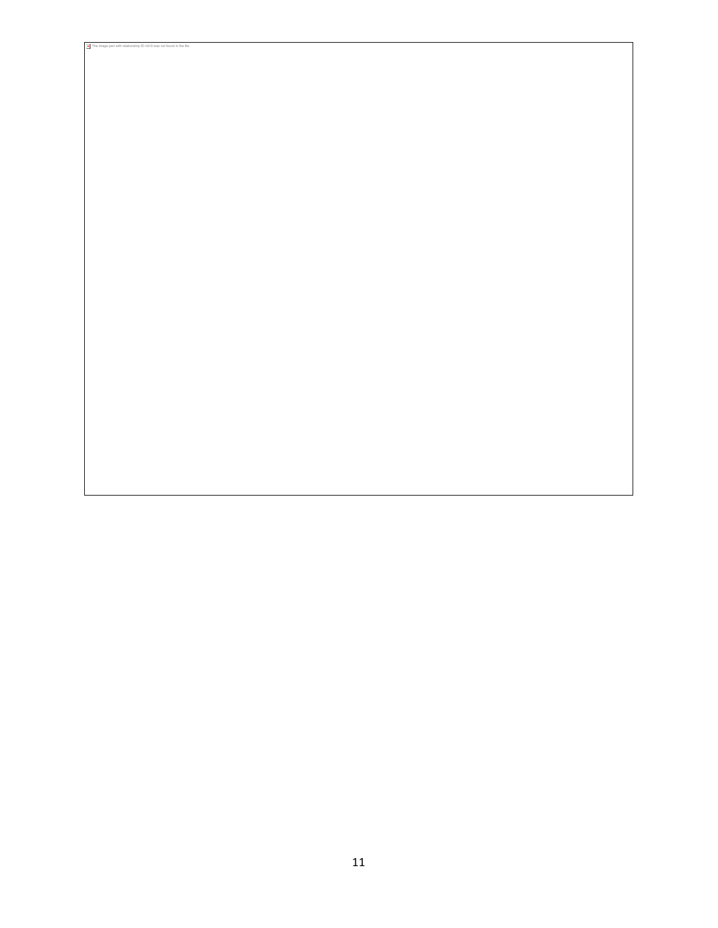$\vert \mathbf{x} \vert$ The image part with relationship ID rId10 was not found in the file.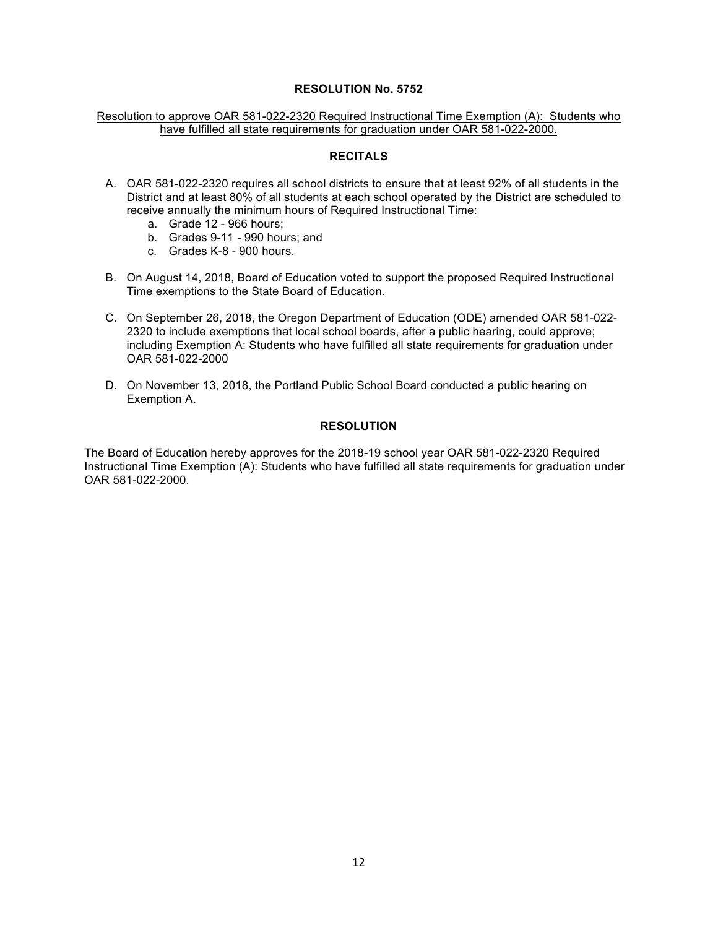### Resolution to approve OAR 581-022-2320 Required Instructional Time Exemption (A): Students who have fulfilled all state requirements for graduation under OAR 581-022-2000.

### **RECITALS**

- A. OAR 581-022-2320 requires all school districts to ensure that at least 92% of all students in the District and at least 80% of all students at each school operated by the District are scheduled to receive annually the minimum hours of Required Instructional Time:
	- a. Grade 12 966 hours;
	- b. Grades 9-11 990 hours; and
	- c. Grades K-8 900 hours.
- B. On August 14, 2018, Board of Education voted to support the proposed Required Instructional Time exemptions to the State Board of Education.
- C. On September 26, 2018, the Oregon Department of Education (ODE) amended OAR 581-022- 2320 to include exemptions that local school boards, after a public hearing, could approve; including Exemption A: Students who have fulfilled all state requirements for graduation under OAR 581-022-2000
- D. On November 13, 2018, the Portland Public School Board conducted a public hearing on Exemption A.

### **RESOLUTION**

The Board of Education hereby approves for the 2018-19 school year OAR 581-022-2320 Required Instructional Time Exemption (A): Students who have fulfilled all state requirements for graduation under OAR 581-022-2000.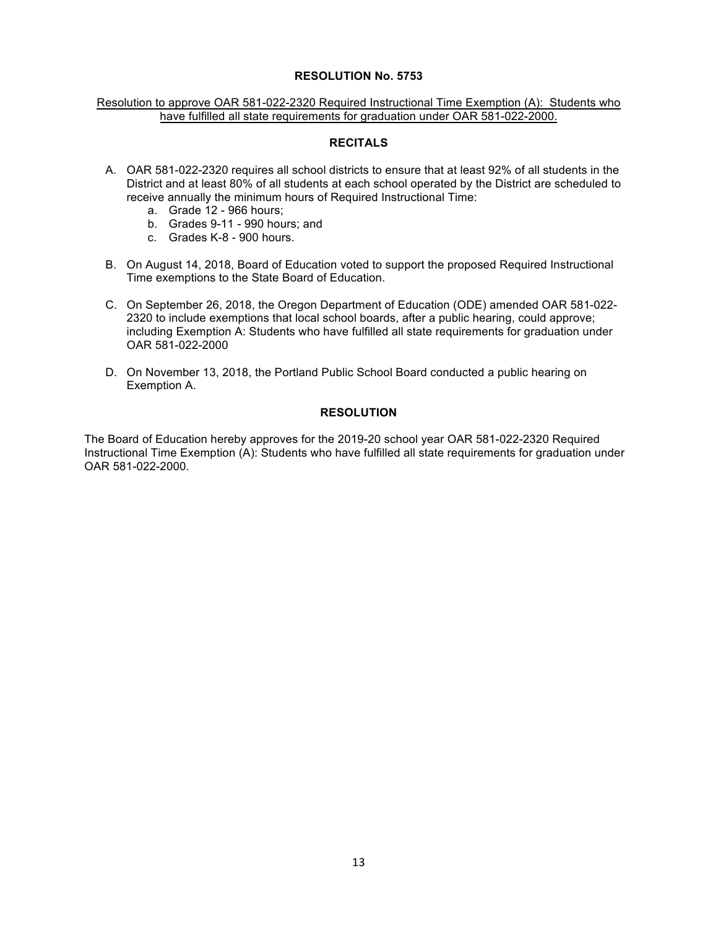#### Resolution to approve OAR 581-022-2320 Required Instructional Time Exemption (A): Students who have fulfilled all state requirements for graduation under OAR 581-022-2000.

# **RECITALS**

- A. OAR 581-022-2320 requires all school districts to ensure that at least 92% of all students in the District and at least 80% of all students at each school operated by the District are scheduled to receive annually the minimum hours of Required Instructional Time:
	- a. Grade 12 966 hours;
	- b. Grades 9-11 990 hours; and
	- c. Grades K-8 900 hours.
- B. On August 14, 2018, Board of Education voted to support the proposed Required Instructional Time exemptions to the State Board of Education.
- C. On September 26, 2018, the Oregon Department of Education (ODE) amended OAR 581-022- 2320 to include exemptions that local school boards, after a public hearing, could approve; including Exemption A: Students who have fulfilled all state requirements for graduation under OAR 581-022-2000
- D. On November 13, 2018, the Portland Public School Board conducted a public hearing on Exemption A.

# **RESOLUTION**

The Board of Education hereby approves for the 2019-20 school year OAR 581-022-2320 Required Instructional Time Exemption (A): Students who have fulfilled all state requirements for graduation under OAR 581-022-2000.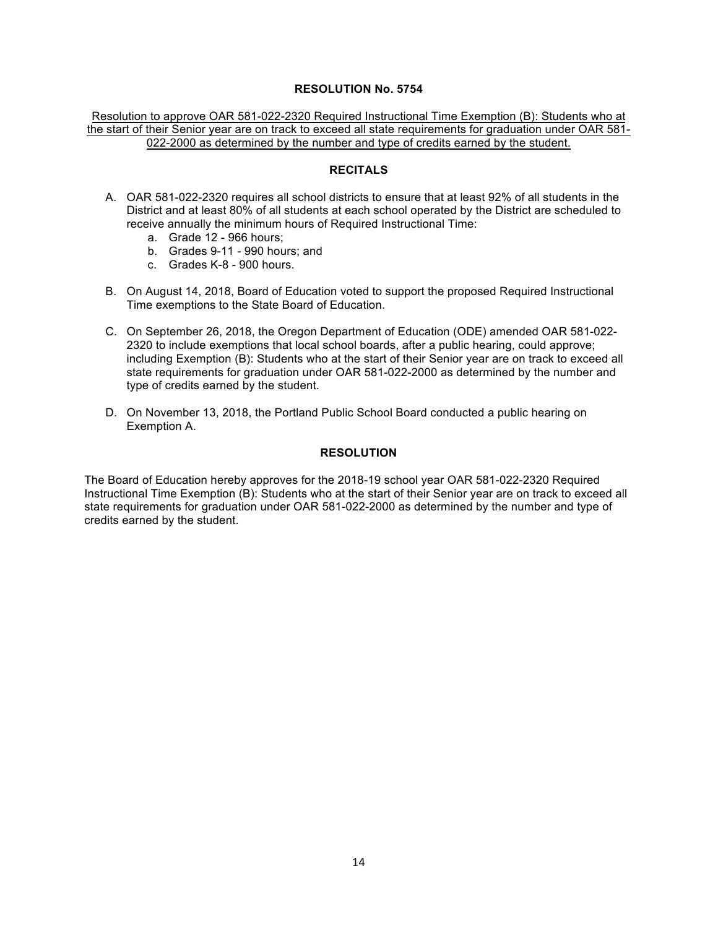Resolution to approve OAR 581-022-2320 Required Instructional Time Exemption (B): Students who at the start of their Senior year are on track to exceed all state requirements for graduation under OAR 581- 022-2000 as determined by the number and type of credits earned by the student.

#### **RECITALS**

- A. OAR 581-022-2320 requires all school districts to ensure that at least 92% of all students in the District and at least 80% of all students at each school operated by the District are scheduled to receive annually the minimum hours of Required Instructional Time:
	- a. Grade 12 966 hours;
	- b. Grades 9-11 990 hours; and
	- c. Grades K-8 900 hours.
- B. On August 14, 2018, Board of Education voted to support the proposed Required Instructional Time exemptions to the State Board of Education.
- C. On September 26, 2018, the Oregon Department of Education (ODE) amended OAR 581-022- 2320 to include exemptions that local school boards, after a public hearing, could approve; including Exemption (B): Students who at the start of their Senior year are on track to exceed all state requirements for graduation under OAR 581-022-2000 as determined by the number and type of credits earned by the student.
- D. On November 13, 2018, the Portland Public School Board conducted a public hearing on Exemption A.

#### **RESOLUTION**

The Board of Education hereby approves for the 2018-19 school year OAR 581-022-2320 Required Instructional Time Exemption (B): Students who at the start of their Senior year are on track to exceed all state requirements for graduation under OAR 581-022-2000 as determined by the number and type of credits earned by the student.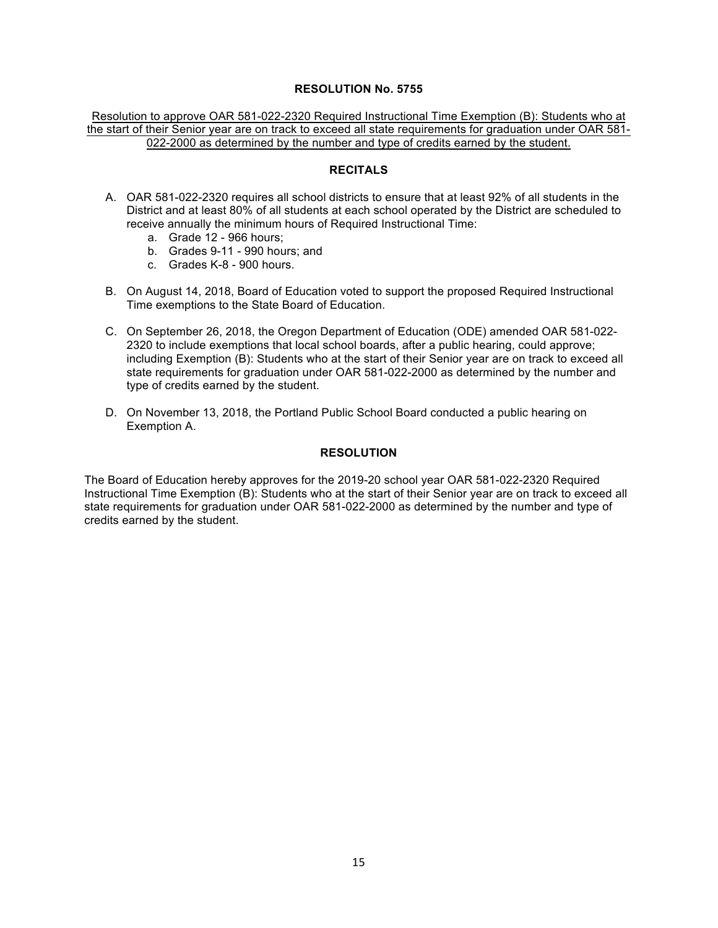Resolution to approve OAR 581-022-2320 Required Instructional Time Exemption (B): Students who at the start of their Senior year are on track to exceed all state requirements for graduation under OAR 581- 022-2000 as determined by the number and type of credits earned by the student.

#### **RECITALS**

- A. OAR 581-022-2320 requires all school districts to ensure that at least 92% of all students in the District and at least 80% of all students at each school operated by the District are scheduled to receive annually the minimum hours of Required Instructional Time:
	- a. Grade 12 966 hours;
	- b. Grades 9-11 990 hours; and
	- c. Grades K-8 900 hours.
- B. On August 14, 2018, Board of Education voted to support the proposed Required Instructional Time exemptions to the State Board of Education.
- C. On September 26, 2018, the Oregon Department of Education (ODE) amended OAR 581-022- 2320 to include exemptions that local school boards, after a public hearing, could approve; including Exemption (B): Students who at the start of their Senior year are on track to exceed all state requirements for graduation under OAR 581-022-2000 as determined by the number and type of credits earned by the student.
- D. On November 13, 2018, the Portland Public School Board conducted a public hearing on Exemption A.

#### **RESOLUTION**

The Board of Education hereby approves for the 2019-20 school year OAR 581-022-2320 Required Instructional Time Exemption (B): Students who at the start of their Senior year are on track to exceed all state requirements for graduation under OAR 581-022-2000 as determined by the number and type of credits earned by the student.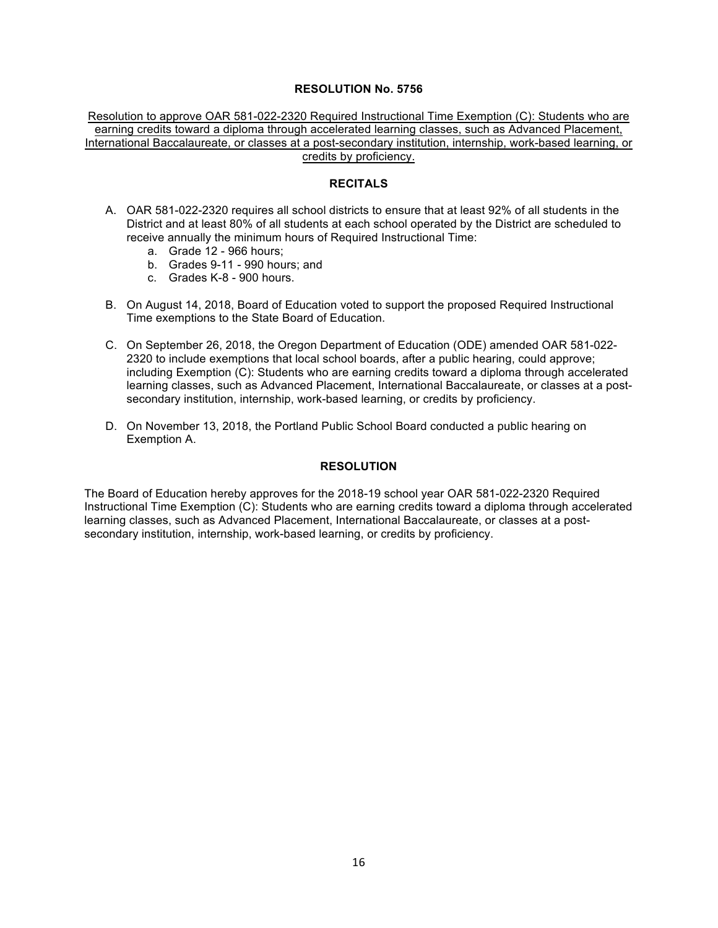Resolution to approve OAR 581-022-2320 Required Instructional Time Exemption (C): Students who are earning credits toward a diploma through accelerated learning classes, such as Advanced Placement, International Baccalaureate, or classes at a post-secondary institution, internship, work-based learning, or credits by proficiency.

# **RECITALS**

- A. OAR 581-022-2320 requires all school districts to ensure that at least 92% of all students in the District and at least 80% of all students at each school operated by the District are scheduled to receive annually the minimum hours of Required Instructional Time:
	- a. Grade 12 966 hours;
	- b. Grades 9-11 990 hours; and
	- c. Grades K-8 900 hours.
- B. On August 14, 2018, Board of Education voted to support the proposed Required Instructional Time exemptions to the State Board of Education.
- C. On September 26, 2018, the Oregon Department of Education (ODE) amended OAR 581-022- 2320 to include exemptions that local school boards, after a public hearing, could approve; including Exemption (C): Students who are earning credits toward a diploma through accelerated learning classes, such as Advanced Placement, International Baccalaureate, or classes at a postsecondary institution, internship, work-based learning, or credits by proficiency.
- D. On November 13, 2018, the Portland Public School Board conducted a public hearing on Exemption A.

### **RESOLUTION**

The Board of Education hereby approves for the 2018-19 school year OAR 581-022-2320 Required Instructional Time Exemption (C): Students who are earning credits toward a diploma through accelerated learning classes, such as Advanced Placement, International Baccalaureate, or classes at a postsecondary institution, internship, work-based learning, or credits by proficiency.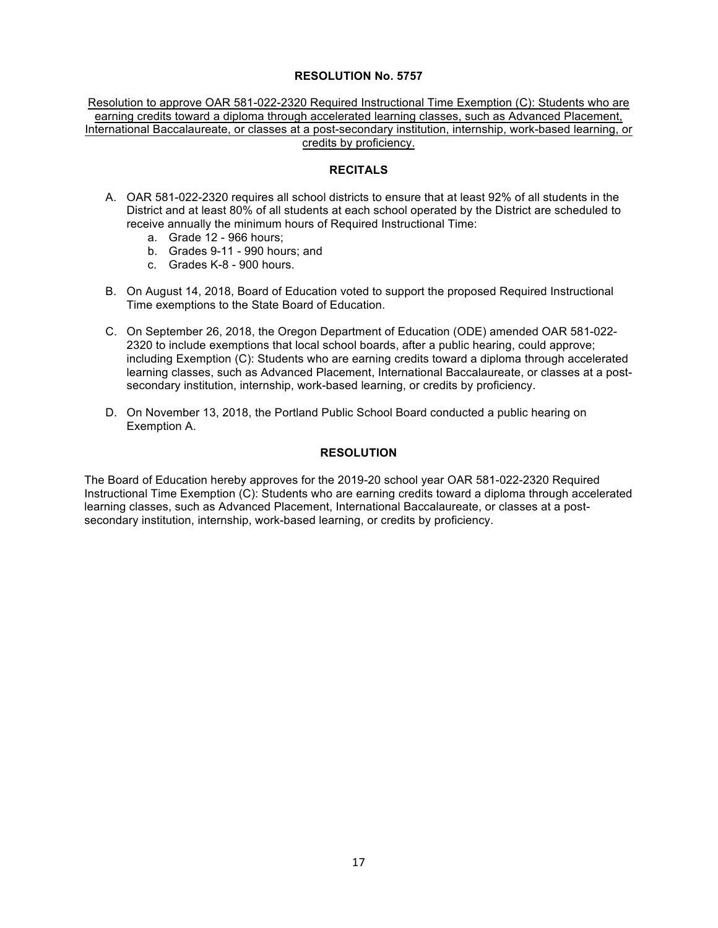Resolution to approve OAR 581-022-2320 Required Instructional Time Exemption (C): Students who are earning credits toward a diploma through accelerated learning classes, such as Advanced Placement, International Baccalaureate, or classes at a post-secondary institution, internship, work-based learning, or credits by proficiency.

### **RECITALS**

- A. OAR 581-022-2320 requires all school districts to ensure that at least 92% of all students in the District and at least 80% of all students at each school operated by the District are scheduled to receive annually the minimum hours of Required Instructional Time:
	- a. Grade 12 966 hours;
	- b. Grades 9-11 990 hours; and
	- c. Grades K-8 900 hours.
- B. On August 14, 2018, Board of Education voted to support the proposed Required Instructional Time exemptions to the State Board of Education.
- C. On September 26, 2018, the Oregon Department of Education (ODE) amended OAR 581-022- 2320 to include exemptions that local school boards, after a public hearing, could approve; including Exemption (C): Students who are earning credits toward a diploma through accelerated learning classes, such as Advanced Placement, International Baccalaureate, or classes at a postsecondary institution, internship, work-based learning, or credits by proficiency.
- D. On November 13, 2018, the Portland Public School Board conducted a public hearing on Exemption A.

### **RESOLUTION**

The Board of Education hereby approves for the 2019-20 school year OAR 581-022-2320 Required Instructional Time Exemption (C): Students who are earning credits toward a diploma through accelerated learning classes, such as Advanced Placement, International Baccalaureate, or classes at a postsecondary institution, internship, work-based learning, or credits by proficiency.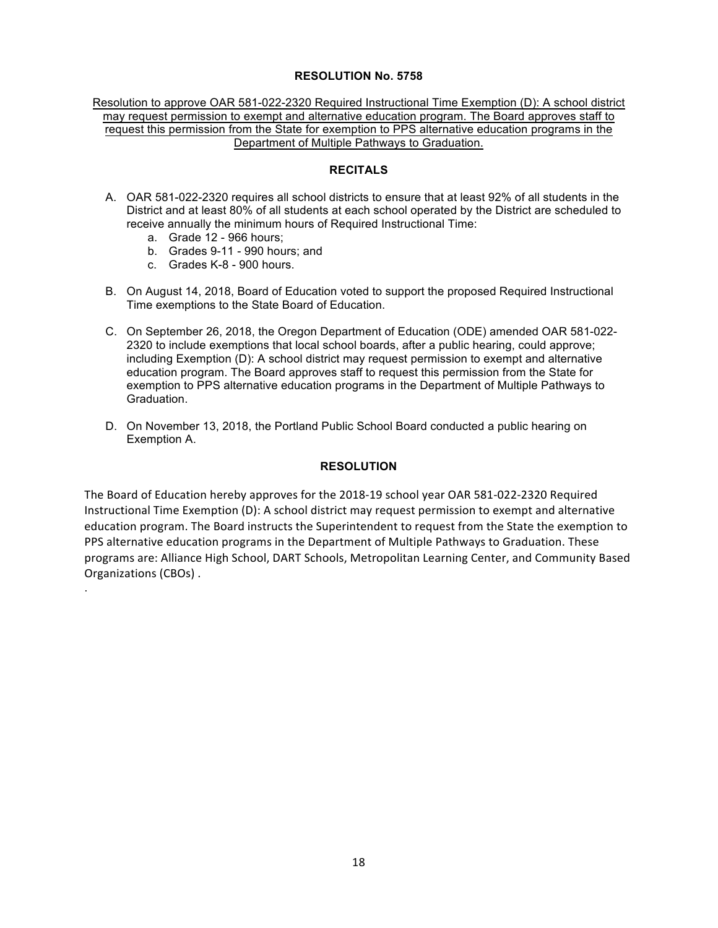Resolution to approve OAR 581-022-2320 Required Instructional Time Exemption (D): A school district may request permission to exempt and alternative education program. The Board approves staff to request this permission from the State for exemption to PPS alternative education programs in the Department of Multiple Pathways to Graduation.

### **RECITALS**

- A. OAR 581-022-2320 requires all school districts to ensure that at least 92% of all students in the District and at least 80% of all students at each school operated by the District are scheduled to receive annually the minimum hours of Required Instructional Time:
	- a. Grade 12 966 hours;

.

- b. Grades 9-11 990 hours; and
- c. Grades K-8 900 hours.
- B. On August 14, 2018, Board of Education voted to support the proposed Required Instructional Time exemptions to the State Board of Education.
- C. On September 26, 2018, the Oregon Department of Education (ODE) amended OAR 581-022- 2320 to include exemptions that local school boards, after a public hearing, could approve; including Exemption (D): A school district may request permission to exempt and alternative education program. The Board approves staff to request this permission from the State for exemption to PPS alternative education programs in the Department of Multiple Pathways to Graduation.
- D. On November 13, 2018, the Portland Public School Board conducted a public hearing on Exemption A.

### **RESOLUTION**

The Board of Education hereby approves for the 2018-19 school year OAR 581-022-2320 Required Instructional Time Exemption (D): A school district may request permission to exempt and alternative education program. The Board instructs the Superintendent to request from the State the exemption to PPS alternative education programs in the Department of Multiple Pathways to Graduation. These programs are: Alliance High School, DART Schools, Metropolitan Learning Center, and Community Based Organizations (CBOs).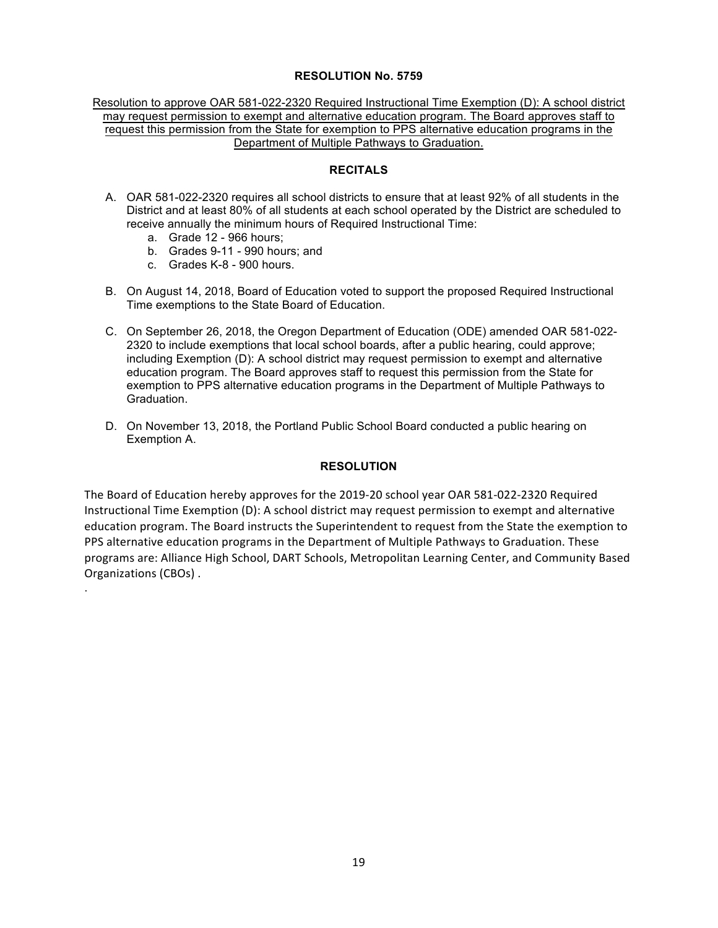Resolution to approve OAR 581-022-2320 Required Instructional Time Exemption (D): A school district may request permission to exempt and alternative education program. The Board approves staff to request this permission from the State for exemption to PPS alternative education programs in the Department of Multiple Pathways to Graduation.

### **RECITALS**

- A. OAR 581-022-2320 requires all school districts to ensure that at least 92% of all students in the District and at least 80% of all students at each school operated by the District are scheduled to receive annually the minimum hours of Required Instructional Time:
	- a. Grade 12 966 hours;

.

- b. Grades 9-11 990 hours; and
- c. Grades K-8 900 hours.
- B. On August 14, 2018, Board of Education voted to support the proposed Required Instructional Time exemptions to the State Board of Education.
- C. On September 26, 2018, the Oregon Department of Education (ODE) amended OAR 581-022- 2320 to include exemptions that local school boards, after a public hearing, could approve; including Exemption (D): A school district may request permission to exempt and alternative education program. The Board approves staff to request this permission from the State for exemption to PPS alternative education programs in the Department of Multiple Pathways to Graduation.
- D. On November 13, 2018, the Portland Public School Board conducted a public hearing on Exemption A.

### **RESOLUTION**

The Board of Education hereby approves for the 2019-20 school year OAR 581-022-2320 Required Instructional Time Exemption (D): A school district may request permission to exempt and alternative education program. The Board instructs the Superintendent to request from the State the exemption to PPS alternative education programs in the Department of Multiple Pathways to Graduation. These programs are: Alliance High School, DART Schools, Metropolitan Learning Center, and Community Based Organizations (CBOs).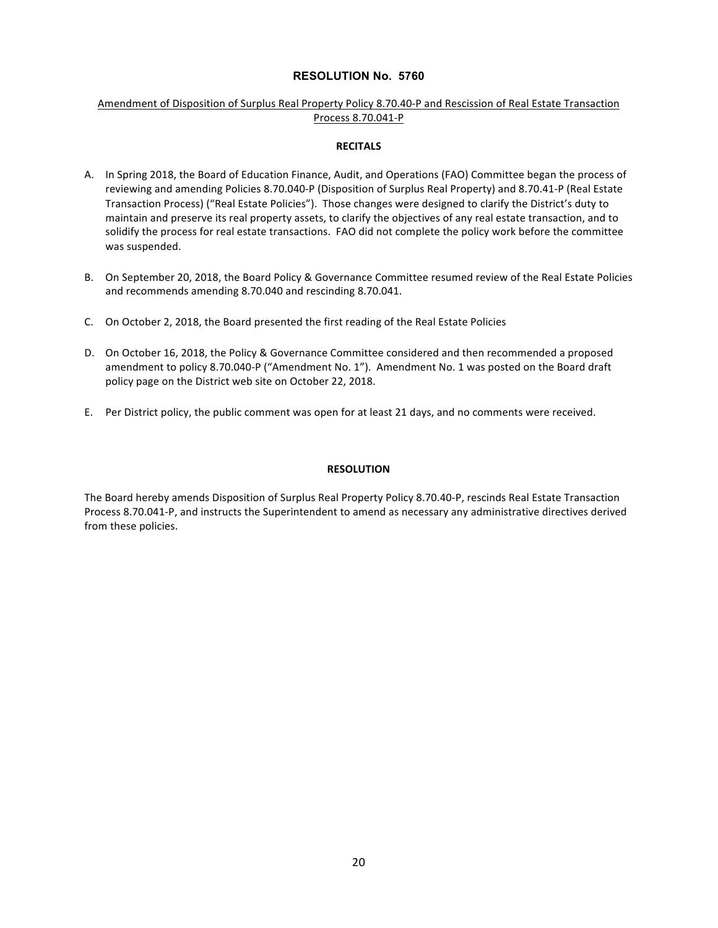### Amendment of Disposition of Surplus Real Property Policy 8.70.40-P and Rescission of Real Estate Transaction Process 8.70.041-P

#### **RECITALS**

- A. In Spring 2018, the Board of Education Finance, Audit, and Operations (FAO) Committee began the process of reviewing and amending Policies 8.70.040-P (Disposition of Surplus Real Property) and 8.70.41-P (Real Estate Transaction Process) ("Real Estate Policies"). Those changes were designed to clarify the District's duty to maintain and preserve its real property assets, to clarify the objectives of any real estate transaction, and to solidify the process for real estate transactions. FAO did not complete the policy work before the committee was suspended.
- B. On September 20, 2018, the Board Policy & Governance Committee resumed review of the Real Estate Policies and recommends amending 8.70.040 and rescinding 8.70.041.
- C. On October 2, 2018, the Board presented the first reading of the Real Estate Policies
- D. On October 16, 2018, the Policy & Governance Committee considered and then recommended a proposed amendment to policy 8.70.040-P ("Amendment No. 1"). Amendment No. 1 was posted on the Board draft policy page on the District web site on October 22, 2018.
- E. Per District policy, the public comment was open for at least 21 days, and no comments were received.

#### **RESOLUTION**

The Board hereby amends Disposition of Surplus Real Property Policy 8.70.40-P, rescinds Real Estate Transaction Process 8.70.041-P, and instructs the Superintendent to amend as necessary any administrative directives derived from these policies.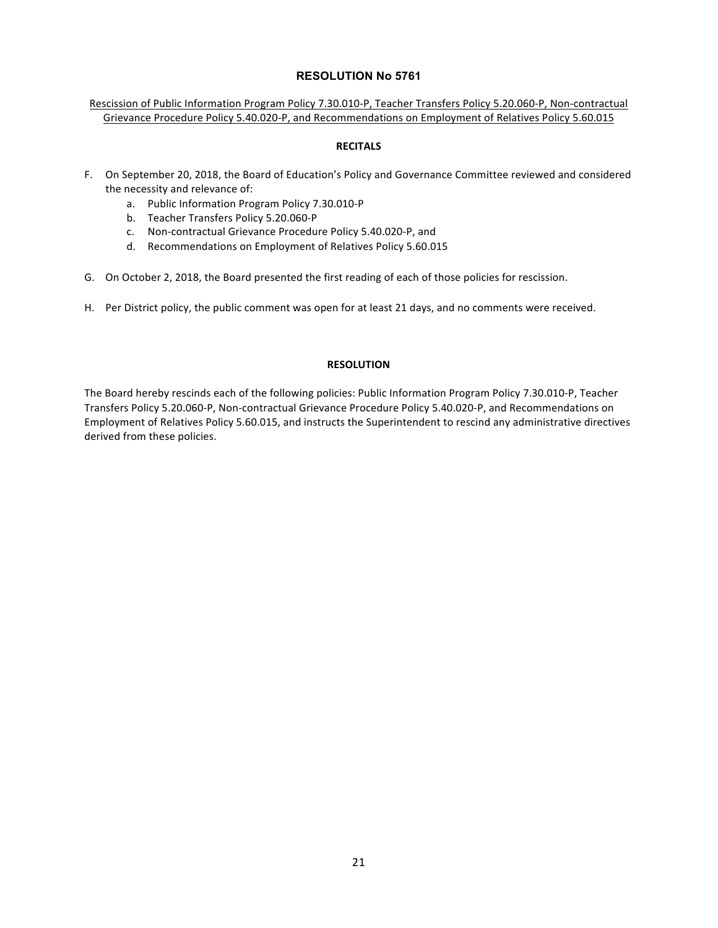Rescission of Public Information Program Policy 7.30.010-P, Teacher Transfers Policy 5.20.060-P, Non-contractual Grievance Procedure Policy 5.40.020-P, and Recommendations on Employment of Relatives Policy 5.60.015

#### **RECITALS**

- F. On September 20, 2018, the Board of Education's Policy and Governance Committee reviewed and considered the necessity and relevance of:
	- a. Public Information Program Policy 7.30.010-P
	- b. Teacher Transfers Policy 5.20.060-P
	- c. Non-contractual Grievance Procedure Policy 5.40.020-P, and
	- d. Recommendations on Employment of Relatives Policy 5.60.015
- G. On October 2, 2018, the Board presented the first reading of each of those policies for rescission.
- H. Per District policy, the public comment was open for at least 21 days, and no comments were received.

#### **RESOLUTION**

The Board hereby rescinds each of the following policies: Public Information Program Policy 7.30.010-P, Teacher Transfers Policy 5.20.060-P, Non-contractual Grievance Procedure Policy 5.40.020-P, and Recommendations on Employment of Relatives Policy 5.60.015, and instructs the Superintendent to rescind any administrative directives derived from these policies.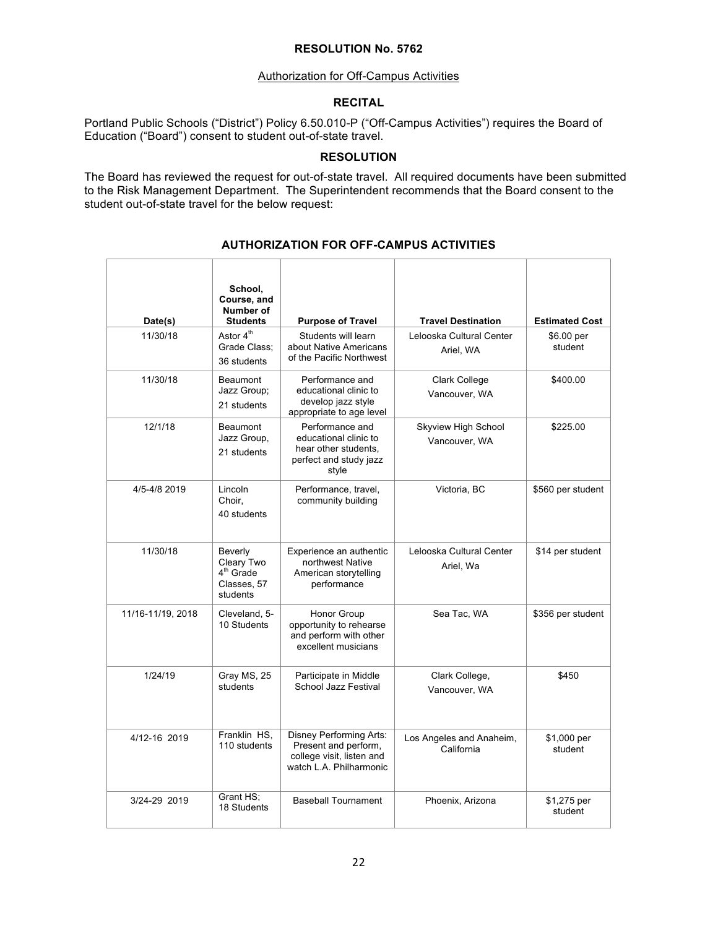### Authorization for Off-Campus Activities

# **RECITAL**

Portland Public Schools ("District") Policy 6.50.010-P ("Off-Campus Activities") requires the Board of Education ("Board") consent to student out-of-state travel.

# **RESOLUTION**

The Board has reviewed the request for out-of-state travel. All required documents have been submitted to the Risk Management Department. The Superintendent recommends that the Board consent to the student out-of-state travel for the below request:

| Date(s)           | School,<br>Course, and<br>Number of<br><b>Students</b>                 | <b>Purpose of Travel</b>                                                                                | <b>Travel Destination</b>                   | <b>Estimated Cost</b>  |
|-------------------|------------------------------------------------------------------------|---------------------------------------------------------------------------------------------------------|---------------------------------------------|------------------------|
| 11/30/18          | Astor 4 <sup>th</sup><br>Grade Class:<br>36 students                   | Students will learn<br>about Native Americans<br>of the Pacific Northwest                               | Lelooska Cultural Center<br>Ariel, WA       | \$6.00 per<br>student  |
| 11/30/18          | <b>Beaumont</b><br>Jazz Group;<br>21 students                          | Performance and<br>educational clinic to<br>develop jazz style<br>appropriate to age level              | <b>Clark College</b><br>Vancouver, WA       | \$400.00               |
| 12/1/18           | Beaumont<br>Jazz Group,<br>21 students                                 | Performance and<br>educational clinic to<br>hear other students,<br>perfect and study jazz<br>style     | <b>Skyview High School</b><br>Vancouver, WA | \$225.00               |
| 4/5-4/8 2019      | Lincoln<br>Choir.<br>40 students                                       | Performance, travel,<br>community building                                                              | Victoria, BC                                | \$560 per student      |
| 11/30/18          | <b>Beverly</b><br>Cleary Two<br>$4th$ Grade<br>Classes, 57<br>students | Experience an authentic<br>northwest Native<br>American storytelling<br>performance                     | Lelooska Cultural Center<br>Ariel, Wa       | \$14 per student       |
| 11/16-11/19, 2018 | Cleveland, 5-<br>10 Students                                           | Honor Group<br>opportunity to rehearse<br>and perform with other<br>excellent musicians                 | Sea Tac, WA                                 | \$356 per student      |
| 1/24/19           | Gray MS, 25<br>students                                                | Participate in Middle<br>School Jazz Festival                                                           | Clark College,<br>Vancouver, WA             | \$450                  |
| 4/12-16 2019      | Franklin HS.<br>110 students                                           | Disney Performing Arts:<br>Present and perform,<br>college visit, listen and<br>watch L.A. Philharmonic | Los Angeles and Anaheim,<br>California      | \$1,000 per<br>student |
| 3/24-29 2019      | Grant HS:<br>18 Students                                               | <b>Baseball Tournament</b>                                                                              | Phoenix, Arizona                            | \$1,275 per<br>student |

### **AUTHORIZATION FOR OFF-CAMPUS ACTIVITIES**